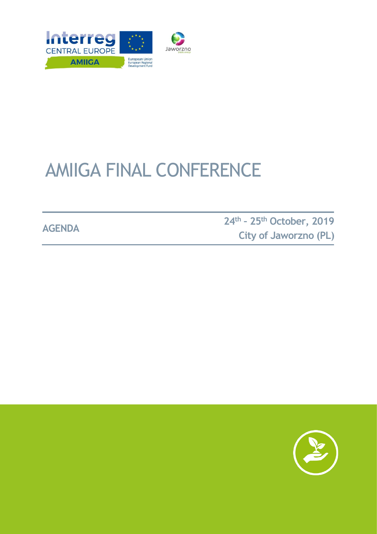

# AMIIGA FINAL CONFERENCE

**AGENDA <sup>24</sup>th – <sup>25</sup>th October, 2019 City of Jaworzno (PL)**

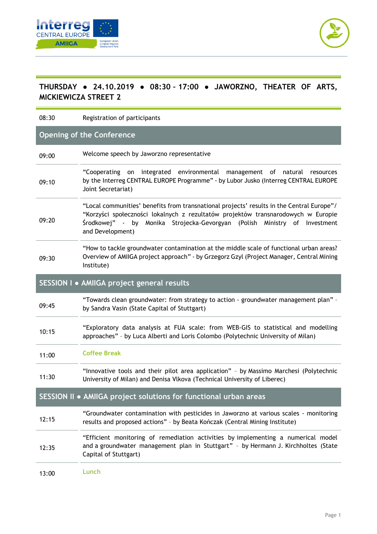



## **THURSDAY ● 24.10.2019 ● 08:30 – 17:00 ● JAWORZNO, THEATER OF ARTS, MICKIEWICZA STREET 2**

08:30 Registration of participants

## **Opening of the Conference**

| 09:00                                                            | Welcome speech by Jaworzno representative                                                                                                                                                                                                                                       |
|------------------------------------------------------------------|---------------------------------------------------------------------------------------------------------------------------------------------------------------------------------------------------------------------------------------------------------------------------------|
| 09:10                                                            | "Cooperating on integrated environmental management of natural resources<br>by the Interreg CENTRAL EUROPE Programme" - by Lubor Jusko (Interreg CENTRAL EUROPE<br>Joint Secretariat)                                                                                           |
| 09:20                                                            | "Local communities' benefits from transnational projects' results in the Central Europe"/<br>"Korzyści społeczności lokalnych z rezultatów projektów transnarodowych w Europie<br>Środkowej" - by Monika Strojecka-Gevorgyan (Polish Ministry of Investment<br>and Development) |
| 09:30                                                            | "How to tackle groundwater contamination at the middle scale of functional urban areas?<br>Overview of AMIIGA project approach" - by Grzegorz Gzyl (Project Manager, Central Mining<br>Institute)                                                                               |
| SESSION I · AMIIGA project general results                       |                                                                                                                                                                                                                                                                                 |
| 09:45                                                            | "Towards clean groundwater: from strategy to action - groundwater management plan" -<br>by Sandra Vasin (State Capital of Stuttgart)                                                                                                                                            |
| 10:15                                                            | "Exploratory data analysis at FUA scale: from WEB-GIS to statistical and modelling<br>approaches" - by Luca Alberti and Loris Colombo (Polytechnic University of Milan)                                                                                                         |
| 11:00                                                            | <b>Coffee Break</b>                                                                                                                                                                                                                                                             |
| 11:30                                                            | "Innovative tools and their pilot area application" - by Massimo Marchesi (Polytechnic<br>University of Milan) and Denisa Vlkova (Technical University of Liberec)                                                                                                              |
| SESSION II . AMIIGA project solutions for functional urban areas |                                                                                                                                                                                                                                                                                 |
| 12:15                                                            | "Groundwater contamination with pesticides in Jaworzno at various scales - monitoring<br>results and proposed actions" - by Beata Kończak (Central Mining Institute)                                                                                                            |
| 12:35                                                            | "Efficient monitoring of remediation activities by implementing a numerical model<br>and a groundwater management plan in Stuttgart" - by Hermann J. Kirchholtes (State<br>Capital of Stuttgart)                                                                                |
| 13:00                                                            | Lunch                                                                                                                                                                                                                                                                           |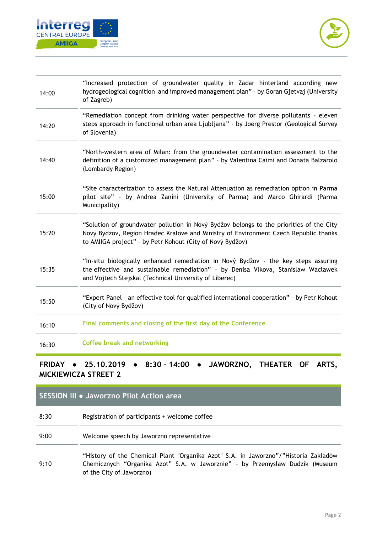



| 14:00         | "Increased protection of groundwater quality in Zadar hinterland according new<br>hydrogeological cognition and improved management plan" - by Goran Gjetvaj (University<br>of Zagreb)                                                       |
|---------------|----------------------------------------------------------------------------------------------------------------------------------------------------------------------------------------------------------------------------------------------|
| 14:20         | "Remediation concept from drinking water perspective for diverse pollutants - eleven<br>steps approach in functional urban area Ljubljana" - by Joerg Prestor (Geological Survey<br>of Slovenia)                                             |
| 14:40         | "North-western area of Milan: from the groundwater contamination assessment to the<br>definition of a customized management plan" - by Valentina Caimi and Donata Balzarolo<br>(Lombardy Region)                                             |
| 15:00         | "Site characterization to assess the Natural Attenuation as remediation option in Parma<br>pilot site" - by Andrea Zanini (University of Parma) and Marco Ghirardi (Parma<br>Municipality)                                                   |
| 15:20         | "Solution of groundwater pollution in Nový Bydžov belongs to the priorities of the City<br>Novy Bydzov, Region Hradec Kralove and Ministry of Environment Czech Republic thanks<br>to AMIIGA project" - by Petr Kohout (City of Nový Bydžov) |
| 15:35         | "In-situ biologically enhanced remediation in Nový Bydžov - the key steps assuring<br>the effective and sustainable remediation" - by Denisa Vlkova, Stanislaw Waclawek<br>and Vojtech Stejskal (Technical University of Liberec)            |
| 15:50         | "Expert Panel - an effective tool for qualified international cooperation" - by Petr Kohout<br>(City of Nový Bydžov)                                                                                                                         |
| 16:10         | Final comments and closing of the first day of the Conference                                                                                                                                                                                |
| 16:30         | <b>Coffee break and networking</b>                                                                                                                                                                                                           |
| <b>CDINAV</b> | 111100710<br>A DTC<br>0. 20<br>∩⊏                                                                                                                                                                                                            |

## **FRIDAY ● 25.10.2019 ● 8:30 – 14:00 ● JAWORZNO, THEATER OF ARTS, MICKIEWICZA STREET 2**

#### **SESSION III ● Jaworzno Pilot Action area**

- 8:30 Registration of participants + welcome coffee
- 9:00 Welcome speech by Jaworzno representative
- 9:10 "History of the Chemical Plant "Organika Azot" S.A. in Jaworzno"/"Historia Zakładów Chemicznych "Organika Azot" S.A. w Jaworznie" – by Przemysław Dudzik (Museum of the City of Jaworzno)